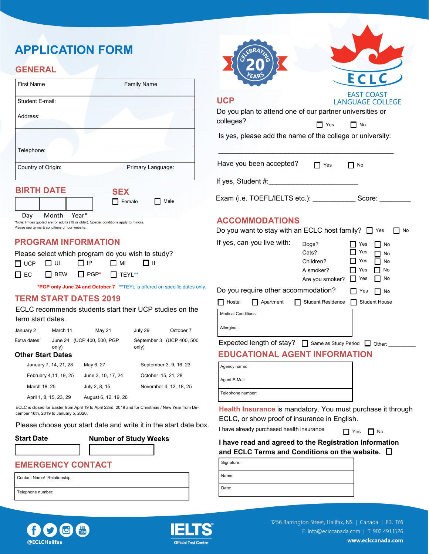# **APPLICATION FORM**

# **GENERAL**

| <b>First Name</b>  | <b>Family Name</b> |
|--------------------|--------------------|
| Student E-mail:    |                    |
| Address:           |                    |
| Telephone:         |                    |
| Country of Origin: | Primary Language:  |
|                    |                    |

#### **BIRTH DATE**

| <b>SEX</b>    |      |
|---------------|------|
| $\Box$ Female | Male |

Day Month Year\*

\*Note: Prices quoted are for adults (19 or older). Special conditions apply to minors. Please see terms & conditions on our website.

# **PROGRAM INFORMATION**

Please select which program do you wish to study?

 $\Box$  UCP  $\Box$  UI  $\Box$  IP  $\Box$  MI  $\Box$  II

**D** BEW  $\Box$  PGP\*  $\Box$  TEYL\*\*  $\Box$  EC

**\*PGP only June 24 and October 7 \*\***TEYL is offered on specific dates only.

#### **TERM START DATES 2019**

ECLC recommends students start their UCP studies on the term start dates.

| January 2                | March 11               | May 21                     | July 29            | October 7                 |
|--------------------------|------------------------|----------------------------|--------------------|---------------------------|
| Extra dates:             | only)                  | June 24 (UCP 400, 500, PGP | only)              | September 3 (UCP 400, 500 |
| <b>Other Start Dates</b> |                        |                            |                    |                           |
|                          | January 7, 14, 21, 28  | May 6, 27                  |                    | September 3, 9, 16, 23    |
|                          | February 4,11, 19, 25  | June 3, 10, 17, 24         | October 15, 21, 28 |                           |
| March 18, 25             |                        | July 2, 8, 15              |                    | November 4, 12, 18, 25    |
|                          | April 1, 8, 15, 23, 29 | August 6, 12, 19, 26       |                    |                           |
|                          |                        |                            |                    |                           |

ECLC is closed for Easter from April 19 to April 22nd, 2019 and for Christmas / New Year from December 16th, 2019 to January 5, 2020.

Please choose your start date and write it in the start date box.

# **Number of Study Weeks**

### **EMERGENCY CONTACT**

Contact Name/ Relationship:

Telephone number:





Date: